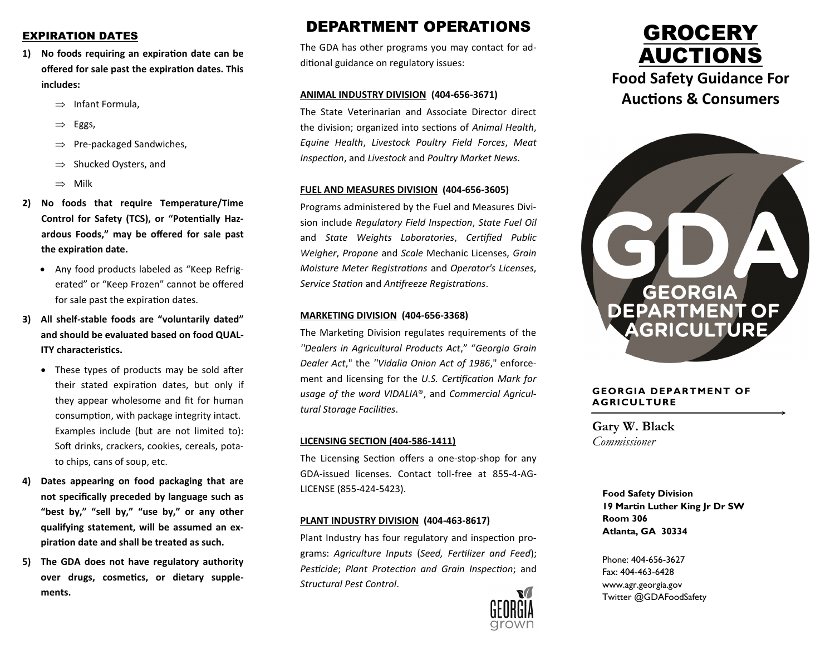### EXPIRATION DATES

- **1) No foods requiring an expiration date can be offered for sale past the expiration dates. This includes:** 
	- $\Rightarrow$  Infant Formula,
	- $\Rightarrow$  Eggs,
	- $\Rightarrow$  Pre-packaged Sandwiches,
	- $\Rightarrow$  Shucked Oysters, and
	- $\Rightarrow$  Milk
- **2) No foods that require Temperature/Time Control for Safety (TCS), or "Potentially Hazardous Foods," may be offered for sale past the expiration date.** 
	- Any food products labeled as "Keep Refrigerated" or "Keep Frozen" cannot be offered for sale past the expiration dates.
- **3) All shelf-stable foods are "voluntarily dated" and should be evaluated based on food QUAL-ITY characteristics.**
	- These types of products may be sold after their stated expiration dates, but only if they appear wholesome and fit for human consumption, with package integrity intact. Examples include (but are not limited to): Soft drinks, crackers, cookies, cereals, potato chips, cans of soup, etc.
- **4) Dates appearing on food packaging that are not specifically preceded by language such as "best by," "sell by," "use by," or any other qualifying statement, will be assumed an expiration date and shall be treated as such.**
- **5) The GDA does not have regulatory authority over drugs, cosmetics, or dietary supplements.**

## DEPARTMENT OPERATIONS

The GDA has other programs you may contact for additional guidance on regulatory issues:

#### **ANIMAL INDUSTRY DIVISION (404-656-3671)**

The State Veterinarian and Associate Director direct the division; organized into sections of *Animal Health*, *Equine Health*, *Livestock Poultry Field Forces*, *Meat Inspection*, and *Livestock* and *Poultry Market News*.

#### **FUEL AND MEASURES DIVISION (404-656-3605)**

Programs administered by the Fuel and Measures Division include *Regulatory Field Inspection*, *State Fuel Oil*  and *State Weights Laboratories*, *Certified Public Weigher*, *Propane* and *Scale* Mechanic Licenses, *Grain Moisture Meter Registrations* and *Operator's Licenses*, *Service Station* and *Antifreeze Registrations*.

#### **MARKETING DIVISION (404-656-3368)**

The Marketing Division regulates requirements of the *''Dealers in Agricultural Products Act*," "*Georgia Grain Dealer Act*," the *''Vidalia Onion Act of 1986*," enforcement and licensing for the *U.S. Certification Mark for usage of the word VIDALIA*®, and *Commercial Agricultural Storage Facilities*.

#### **LICENSING SECTION (404-586-1411)**

The Licensing Section offers a one-stop-shop for any GDA-issued licenses. Contact toll-free at 855-4-AG-LICENSE (855-424-5423).

#### **PLANT INDUSTRY DIVISION (404-463-8617)**

Plant Industry has four regulatory and inspection programs: *Agriculture Inputs* (*Seed, Fertilizer and Feed*); *Pesticide*; *Plant Protection and Grain Inspection*; and *Structural Pest Control*.







#### **GEORGIA DEPARTMENT OF AGRICULTURE**

**Gary W. Black** *Commissioner*

> **Food Safety Division 19 Martin Luther King Jr Dr SW Room 306 Atlanta, GA 30334**

Phone: 404-656-3627 Fax: 404-463-6428 www.agr.georgia.gov Twitter @GDAFoodSafety